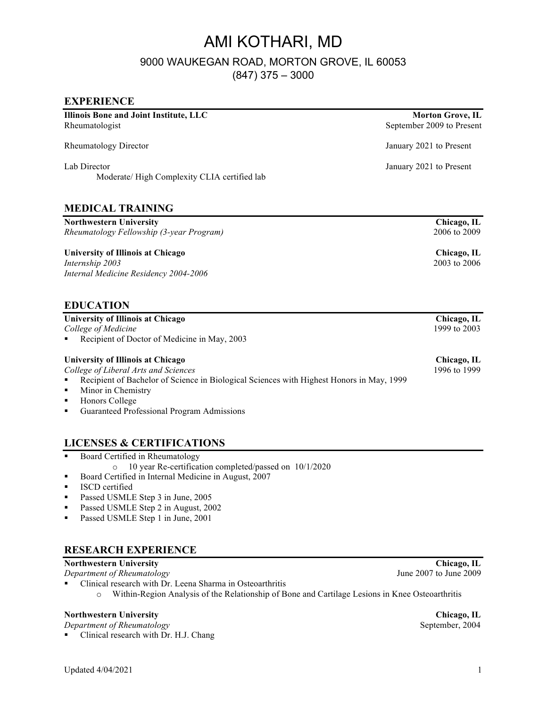# AMI KOTHARI, MD

## 9000 WAUKEGAN ROAD, MORTON GROVE, IL 60053 (847) 375 – 3000

## **EXPERIENCE**

**Illinois Bone and Joint Institute, LLC Morton Grove, IL Morton Grove, IL** Rheumatologist September 2009 to Present

Rheumatology Director January 2021 to Present

Lab Director January 2021 to Present Moderate/ High Complexity CLIA certified lab

## **MEDICAL TRAINING**

**Northwestern University** Chicago, IL *Rheumatology Fellowship (3-year Program)* 2006 to 2009

## **University of Illinois at Chicago Chicago, IL**

*Internship 2003* 2003 to 2006 *Internal Medicine Residency 2004-2006*

## **EDUCATION**

#### **University of Illinois at Chicago Chicago, IL**

*College of Medicine* 1999 to 2003

§ Recipient of Doctor of Medicine in May, 2003

## **University of Illinois at Chicago Chicago, IL**

*College of Liberal Arts and Sciences* 1996 to 1999

- § Recipient of Bachelor of Science in Biological Sciences with Highest Honors in May, 1999
- Minor in Chemistry
- Honors College
- § Guaranteed Professional Program Admissions

## **LICENSES & CERTIFICATIONS**

- Board Certified in Rheumatology
	- o 10 year Re-certification completed/passed on 10/1/2020
- Board Certified in Internal Medicine in August, 2007
- ISCD certified
- Passed USMLE Step 3 in June, 2005
- Passed USMLE Step 2 in August, 2002
- Passed USMLE Step 1 in June, 2001

## **RESEARCH EXPERIENCE**

## **Northwestern University Chicago, IL**

- § Clinical research with Dr. Leena Sharma in Osteoarthritis
	- o Within-Region Analysis of the Relationship of Bone and Cartilage Lesions in Knee Osteoarthritis

#### **Northwestern University Chicago, IL**

*Department of Rheumatology* September, 2004

§ Clinical research with Dr. H.J. Chang

*Department of Rheumatology* June 2007 to June 2009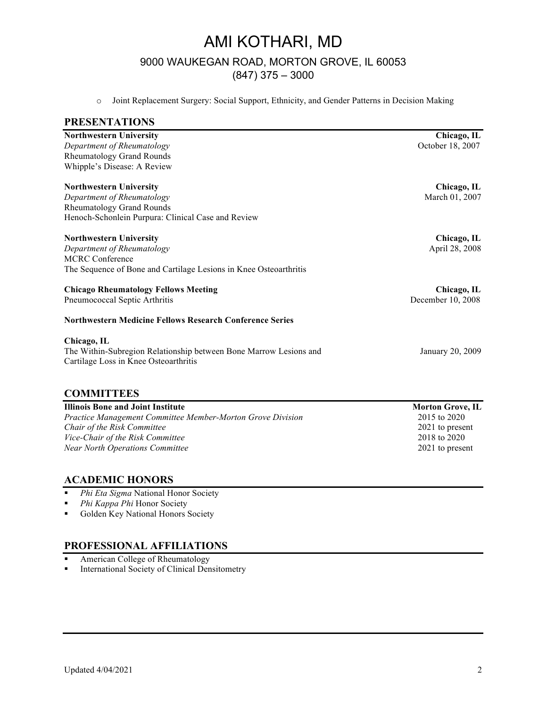# AMI KOTHARI, MD 9000 WAUKEGAN ROAD, MORTON GROVE, IL 60053 (847) 375 – 3000

o Joint Replacement Surgery: Social Support, Ethnicity, and Gender Patterns in Decision Making

#### **PRESENTATIONS**

| <b>Northwestern University</b>                                    | Chicago, IL             |
|-------------------------------------------------------------------|-------------------------|
| Department of Rheumatology                                        | October 18, 2007        |
| Rheumatology Grand Rounds                                         |                         |
| Whipple's Disease: A Review                                       |                         |
| <b>Northwestern University</b>                                    | Chicago, IL             |
| Department of Rheumatology                                        | March 01, 2007          |
| <b>Rheumatology Grand Rounds</b>                                  |                         |
| Henoch-Schonlein Purpura: Clinical Case and Review                |                         |
| <b>Northwestern University</b>                                    | Chicago, IL             |
| Department of Rheumatology                                        | April 28, 2008          |
| <b>MCRC</b> Conference                                            |                         |
| The Sequence of Bone and Cartilage Lesions in Knee Osteoarthritis |                         |
| <b>Chicago Rheumatology Fellows Meeting</b>                       | Chicago, IL             |
| Pneumococcal Septic Arthritis                                     | December 10, 2008       |
| <b>Northwestern Medicine Fellows Research Conference Series</b>   |                         |
| Chicago, IL                                                       |                         |
| The Within-Subregion Relationship between Bone Marrow Lesions and | January 20, 2009        |
| Cartilage Loss in Knee Osteoarthritis                             |                         |
| <b>COMMITTEES</b>                                                 |                         |
| <b>Illinois Bone and Joint Institute</b>                          | <b>Morton Grove, IL</b> |

*Practice Management Committee Member-Morton Grove Division* 2015 to 2020 *Chair of the Risk Committee* 2021 to present *Vice-Chair of the Risk Committee* 2018 to 2020 *Near North Operations Committee* 2021 to present

## **ACADEMIC HONORS**

- *Phi Eta Sigma* National Honor Society
- *Phi Kappa Phi* Honor Society
- Golden Key National Honors Society

## **PROFESSIONAL AFFILIATIONS**

- American College of Rheumatology
- **■** International Society of Clinical Densitometry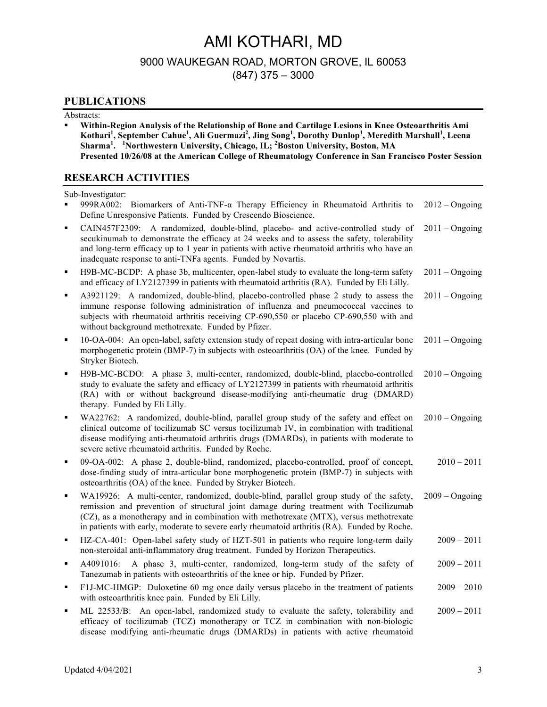# AMI KOTHARI, MD

# 9000 WAUKEGAN ROAD, MORTON GROVE, IL 60053 (847) 375 – 3000

## **PUBLICATIONS**

Abstracts:

§ **Within-Region Analysis of the Relationship of Bone and Cartilage Lesions in Knee Osteoarthritis Ami Kothari<sup>1</sup> , September Cahue<sup>1</sup> , Ali Guermazi<sup>2</sup> , Jing Song<sup>1</sup> , Dorothy Dunlop<sup>1</sup> , Meredith Marshall<sup>1</sup> , Leena Sharma<sup>1</sup> . <sup>1</sup> Northwestern University, Chicago, IL; <sup>2</sup> Boston University, Boston, MA Presented 10/26/08 at the American College of Rheumatology Conference in San Francisco Poster Session**

## **RESEARCH ACTIVITIES**

Sub-Investigator:

| $\blacksquare$ | 999RA002: Biomarkers of Anti-TNF-α Therapy Efficiency in Rheumatoid Arthritis to<br>Define Unresponsive Patients. Funded by Crescendo Bioscience.                                                                                                                                                                                                                         | $2012 - O$ ngoing |
|----------------|---------------------------------------------------------------------------------------------------------------------------------------------------------------------------------------------------------------------------------------------------------------------------------------------------------------------------------------------------------------------------|-------------------|
| ٠              | CAIN457F2309: A randomized, double-blind, placebo- and active-controlled study of<br>secukinumab to demonstrate the efficacy at 24 weeks and to assess the safety, tolerability<br>and long-term efficacy up to 1 year in patients with active rheumatoid arthritis who have an<br>inadequate response to anti-TNFa agents. Funded by Novartis.                           | $2011 - O$ ngoing |
| $\blacksquare$ | H9B-MC-BCDP: A phase 3b, multicenter, open-label study to evaluate the long-term safety<br>and efficacy of LY2127399 in patients with rheumatoid arthritis (RA). Funded by Eli Lilly.                                                                                                                                                                                     | $2011 - Ongoing$  |
| $\blacksquare$ | A3921129: A randomized, double-blind, placebo-controlled phase 2 study to assess the<br>immune response following administration of influenza and pneumococcal vaccines to<br>subjects with rheumatoid arthritis receiving CP-690,550 or placebo CP-690,550 with and<br>without background methotrexate. Funded by Pfizer.                                                | $2011 - Ongoing$  |
| ٠              | 10-OA-004: An open-label, safety extension study of repeat dosing with intra-articular bone<br>morphogenetic protein (BMP-7) in subjects with osteoarthritis (OA) of the knee. Funded by<br>Stryker Biotech.                                                                                                                                                              | $2011 - Ongoing$  |
| ٠              | H9B-MC-BCDO: A phase 3, multi-center, randomized, double-blind, placebo-controlled<br>study to evaluate the safety and efficacy of LY2127399 in patients with rheumatoid arthritis<br>(RA) with or without background disease-modifying anti-rheumatic drug (DMARD)<br>therapy. Funded by Eli Lilly.                                                                      | $2010 - O$ ngoing |
| $\blacksquare$ | WA22762: A randomized, double-blind, parallel group study of the safety and effect on<br>clinical outcome of tocilizumab SC versus tocilizumab IV, in combination with traditional<br>disease modifying anti-rheumatoid arthritis drugs (DMARDs), in patients with moderate to<br>severe active rheumatoid arthritis. Funded by Roche.                                    | $2010 - O$ ngoing |
| $\blacksquare$ | 09-OA-002: A phase 2, double-blind, randomized, placebo-controlled, proof of concept,<br>dose-finding study of intra-articular bone morphogenetic protein (BMP-7) in subjects with<br>osteoarthritis (OA) of the knee. Funded by Stryker Biotech.                                                                                                                         | $2010 - 2011$     |
| ٠              | WA19926: A multi-center, randomized, double-blind, parallel group study of the safety,<br>remission and prevention of structural joint damage during treatment with Tocilizumab<br>(CZ), as a monotherapy and in combination with methotrexate (MTX), versus methotrexate<br>in patients with early, moderate to severe early rheumatoid arthritis (RA). Funded by Roche. | $2009 - O$ ngoing |
| ٠              | HZ-CA-401: Open-label safety study of HZT-501 in patients who require long-term daily<br>non-steroidal anti-inflammatory drug treatment. Funded by Horizon Therapeutics.                                                                                                                                                                                                  | $2009 - 2011$     |
| ٠              | A4091016:<br>A phase 3, multi-center, randomized, long-term study of the safety of<br>Tanezumab in patients with osteoarthritis of the knee or hip. Funded by Pfizer.                                                                                                                                                                                                     | $2009 - 2011$     |
| $\blacksquare$ | F1J-MC-HMGP: Duloxetine 60 mg once daily versus placebo in the treatment of patients<br>with osteoarthritis knee pain. Funded by Eli Lilly.                                                                                                                                                                                                                               | $2009 - 2010$     |
| $\blacksquare$ | ML 22533/B: An open-label, randomized study to evaluate the safety, tolerability and<br>efficacy of tocilizumab (TCZ) monotherapy or TCZ in combination with non-biologic<br>disease modifying anti-rheumatic drugs (DMARDs) in patients with active rheumatoid                                                                                                           | $2009 - 2011$     |